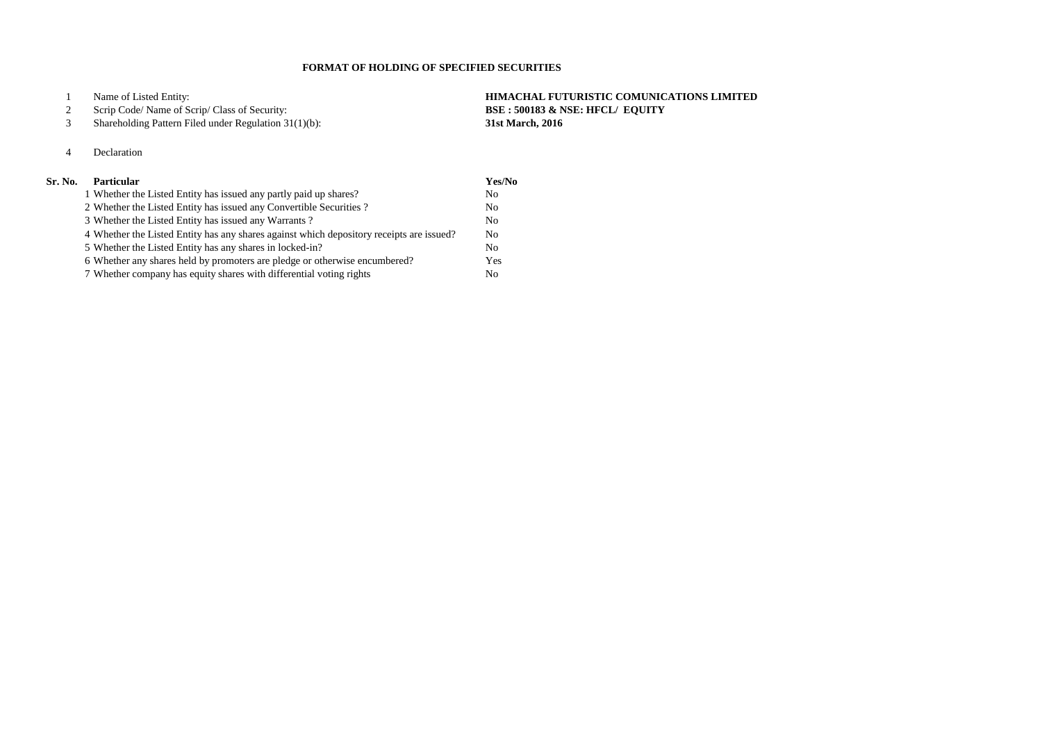Scrip Code/ Name of Scrip/ Class of Security: **BSE : 500183 & NSE: HFCL/ EQUITY**

 Name of Listed Entity: **HIMACHAL FUTURISTIC COMUNICATIONS LIMITED** Shareholding Pattern Filed under Regulation 31(1)(b): **31st March, 2016**

Declaration

## **Sr. No. Particular Yes/No**

| 1 Whether the Listed Entity has issued any partly paid up shares?                        | N <sub>0</sub> |
|------------------------------------------------------------------------------------------|----------------|
| 2 Whether the Listed Entity has issued any Convertible Securities?                       | No             |
| 3 Whether the Listed Entity has issued any Warrants?                                     | No             |
| 4 Whether the Listed Entity has any shares against which depository receipts are issued? | N <sub>0</sub> |
| 5 Whether the Listed Entity has any shares in locked-in?                                 | N <sub>o</sub> |
| 6 Whether any shares held by promoters are pledge or otherwise encumbered?               | Yes            |
| 7 Whether company has equity shares with differential voting rights                      | No.            |

## **FORMAT OF HOLDING OF SPECIFIED SECURITIES**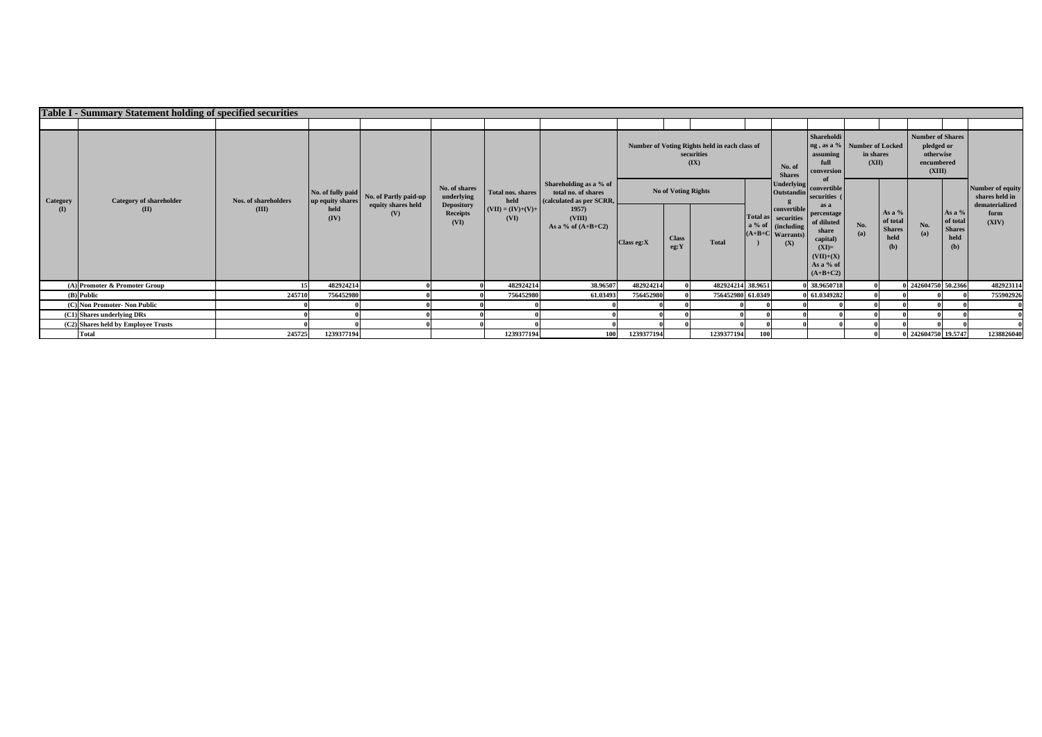|                              | Table I - Summary Statement holding of specified securities |                               |                                       |                                                    |                                                                             |                                                          |                                                                           |                                              |                                                                     |                                        |                                                                                        |                                                                                                    |                    |                                                      |                                                                     |                                                      |               |
|------------------------------|-------------------------------------------------------------|-------------------------------|---------------------------------------|----------------------------------------------------|-----------------------------------------------------------------------------|----------------------------------------------------------|---------------------------------------------------------------------------|----------------------------------------------|---------------------------------------------------------------------|----------------------------------------|----------------------------------------------------------------------------------------|----------------------------------------------------------------------------------------------------|--------------------|------------------------------------------------------|---------------------------------------------------------------------|------------------------------------------------------|---------------|
|                              |                                                             |                               |                                       |                                                    |                                                                             |                                                          |                                                                           |                                              |                                                                     |                                        |                                                                                        |                                                                                                    |                    |                                                      |                                                                     |                                                      |               |
| <b>Category</b><br>(I)       | <b>Category of shareholder</b><br>(II)                      |                               |                                       |                                                    |                                                                             |                                                          |                                                                           |                                              | Number of Voting Rights held in each class of<br>securities<br>(IX) |                                        | No. of<br><b>Shares</b>                                                                | Shareholdi<br>ng, as a % Number of Locked<br>assuming<br>full<br>conversion                        | in shares<br>(XII) |                                                      | Number of Shares<br>pledged or<br>otherwise<br>encumbered<br>(XIII) |                                                      |               |
|                              |                                                             | Nos. of shareholders<br>(III) | No. of fully paid<br>up equity shares | No. of Partly paid-up<br>equity shares held<br>(V) | No. of shares<br>underlying<br><b>Depository</b><br><b>Receipts</b><br>(VI) | Total nos. shares<br>held<br>$(VII) = (IV)+(V)+$<br>(VI) | Shareholding as a % of<br>total no. of shares<br>(calculated as per SCRR, | <b>No of Voting Rights</b>                   |                                                                     | <b>Underlying</b><br><b>Outstandin</b> | convertible<br>securities (<br>as a                                                    |                                                                                                    |                    |                                                      |                                                                     | Number of equity<br>shares held in<br>dematerialized |               |
|                              |                                                             |                               | held<br>(IV)                          |                                                    |                                                                             |                                                          | 1957)<br>(VIII)<br>As a % of $(A+B+C2)$                                   | <b>Class</b><br>$\bigcap$ Class eg:X<br>eg:Y | <b>Total</b>                                                        |                                        | convertible<br>Total as securities<br>a % of   (including<br>$(A+B+C$ Warrants)<br>(X) | percentage<br>of diluted<br>share<br>capital)<br>$(XI)=$<br>$(VII)+(X)$<br>As a % of<br>$(A+B+C2)$ | No.<br>(a)         | As a $%$<br>of total<br><b>Shares</b><br>held<br>(b) | No.<br>(a)                                                          | As a %<br>of total<br><b>Shares</b><br>held<br>(b)   | form<br>(XIV) |
|                              | $(A)$ Promoter & Promoter Group                             |                               | 482924214                             |                                                    |                                                                             | 482924214                                                | 38.96507                                                                  | 482924214                                    | 482924214 38.9651                                                   |                                        |                                                                                        | 0 38.9650718                                                                                       |                    |                                                      | 0 242604750 50.2366                                                 |                                                      | 482923114     |
|                              | $(B)$ Public                                                | 245710                        | 756452980                             |                                                    |                                                                             | 756452980                                                | 61.03493                                                                  | 756452980                                    | 756452980 61.0349                                                   |                                        |                                                                                        | 0 61.0349282                                                                                       |                    |                                                      |                                                                     |                                                      | 755902926     |
| (C) Non Promoter- Non Public |                                                             |                               |                                       |                                                    |                                                                             |                                                          |                                                                           |                                              |                                                                     |                                        |                                                                                        |                                                                                                    |                    |                                                      |                                                                     |                                                      |               |
| (C1) Shares underlying DRs   |                                                             |                               |                                       |                                                    |                                                                             |                                                          |                                                                           |                                              |                                                                     |                                        |                                                                                        |                                                                                                    |                    |                                                      |                                                                     |                                                      |               |
|                              | (C2) Shares held by Employee Trusts                         |                               |                                       |                                                    |                                                                             |                                                          |                                                                           |                                              |                                                                     |                                        |                                                                                        |                                                                                                    |                    |                                                      |                                                                     |                                                      |               |
|                              | <b>Total</b>                                                | 245725                        | 1239377194                            |                                                    |                                                                             | 1239377194                                               | 100                                                                       | 1239377194                                   | 1239377194                                                          | <b>100</b>                             |                                                                                        |                                                                                                    |                    |                                                      | 0 242604750 19.5747                                                 |                                                      | 1238826040    |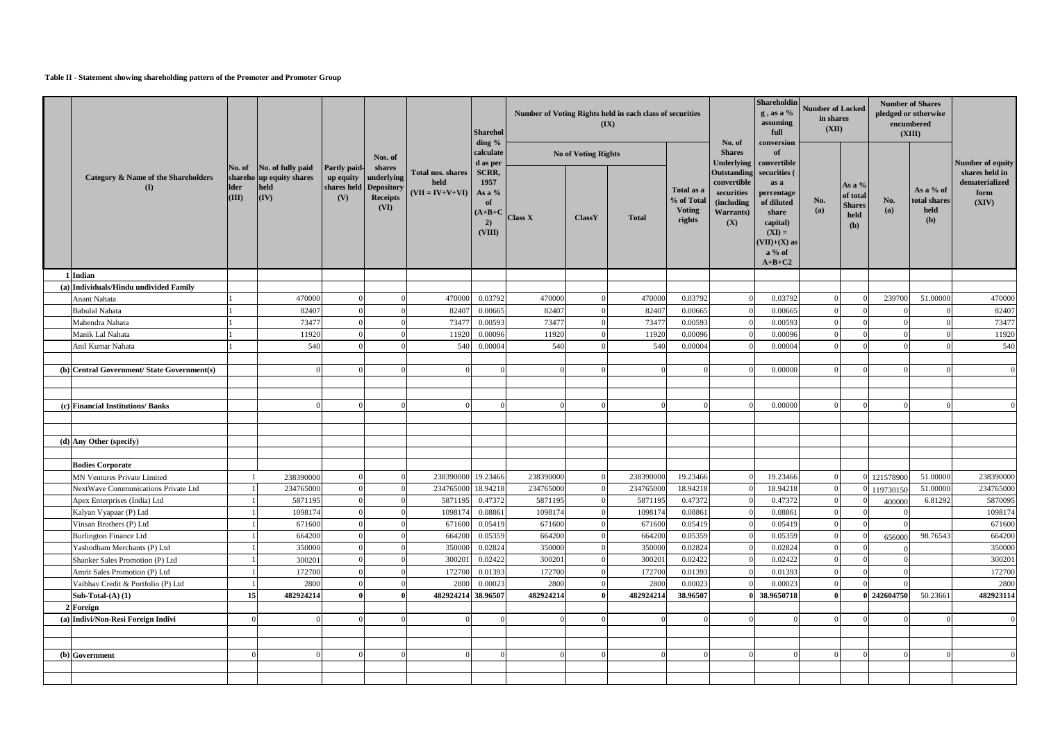## **Table II - Statement showing shareholding pattern of the Promoter and Promoter Group**

|                                                                     |                                |                                                                       |                            |                                                                                                   |                                                       | <b>Sharehol</b>                                                        |                      |                            | Number of Voting Rights held in each class of securities<br>(IX) |                                                     |                                                                                         | Shareholdin<br>$g$ , as a %<br>assuming<br>full                                                                                         | <b>Number of Locked</b><br>in shares<br>(XII) |                                                      |                       | <b>Number of Shares</b><br>pledged or otherwise<br>encumbered<br>(XIII)                       |                      |
|---------------------------------------------------------------------|--------------------------------|-----------------------------------------------------------------------|----------------------------|---------------------------------------------------------------------------------------------------|-------------------------------------------------------|------------------------------------------------------------------------|----------------------|----------------------------|------------------------------------------------------------------|-----------------------------------------------------|-----------------------------------------------------------------------------------------|-----------------------------------------------------------------------------------------------------------------------------------------|-----------------------------------------------|------------------------------------------------------|-----------------------|-----------------------------------------------------------------------------------------------|----------------------|
|                                                                     |                                |                                                                       |                            | Nos. of                                                                                           |                                                       | ding $\%$<br>calculate                                                 |                      | <b>No of Voting Rights</b> |                                                                  |                                                     | No. of<br><b>Shares</b>                                                                 | conversion<br>of                                                                                                                        |                                               |                                                      |                       |                                                                                               | Number of equity     |
| <b>Category &amp; Name of the Shareholders</b><br>(I)               | No. of<br><b>Ider</b><br>(III) | No. of fully paid<br>shareho up equity shares<br>held<br>$\vert$ (IV) | <b>Partly paid-</b><br>(V) | shares<br>$\frac{1}{2}$ up equity underlying<br>shares held Depository<br><b>Receipts</b><br>(VI) | <b>Total nos. shares</b><br>held<br>$(VII = IV+V+VI)$ | d as per<br>SCRR,<br>1957<br>As a %<br>of<br>$(A+B+C)$<br>2)<br>(VIII) | <b>Class X</b>       | ClassY                     | <b>Total</b>                                                     | Total as a<br>% of Total<br><b>Voting</b><br>rights | Outstanding securities (<br>convertible<br>securities<br>(including<br>Warrants)<br>(X) | Underlying   convertible<br>as a<br>percentage<br>of diluted<br>share<br>capital)<br>$(XI) =$<br>$(VII)+(X)$ as<br>$a\%$ of<br>$A+B+C2$ | No.<br>(a)                                    | As a $%$<br>of total<br><b>Shares</b><br>held<br>(b) | No.<br>(a)            | shares held in<br>dematerialized<br>As a % of<br>form<br>total shares<br>(XIV)<br>held<br>(b) |                      |
| 1 Indian                                                            |                                |                                                                       |                            |                                                                                                   |                                                       |                                                                        |                      |                            |                                                                  |                                                     |                                                                                         |                                                                                                                                         |                                               |                                                      |                       |                                                                                               |                      |
| (a) Individuals/Hindu undivided Family                              |                                |                                                                       |                            |                                                                                                   |                                                       |                                                                        |                      |                            |                                                                  |                                                     |                                                                                         |                                                                                                                                         |                                               |                                                      |                       |                                                                                               |                      |
| Anant Nahata                                                        |                                | 470000                                                                |                            |                                                                                                   | 470000                                                | 0.03792                                                                | 470000               |                            | 470000                                                           | 0.03792                                             |                                                                                         | 0.03792                                                                                                                                 |                                               |                                                      | 239700                | 51.00000                                                                                      | 470000               |
| <b>Babulal Nahata</b>                                               |                                | 82407                                                                 |                            |                                                                                                   | 82407                                                 | 0.00665                                                                | 82407                |                            | 82407                                                            | 0.00665                                             |                                                                                         | 0.00665                                                                                                                                 |                                               |                                                      |                       |                                                                                               | 82407                |
| Mahendra Nahata                                                     |                                | 73477                                                                 |                            |                                                                                                   | 73477                                                 | 0.00593                                                                | 73477                |                            | 73477                                                            | 0.00593                                             |                                                                                         | 0.00593                                                                                                                                 |                                               |                                                      |                       |                                                                                               | 73477                |
| Manik Lal Nahata                                                    |                                | 11920                                                                 |                            |                                                                                                   | 11920                                                 | 0.00096                                                                | 11920                |                            | 11920                                                            | 0.00096                                             |                                                                                         | 0.00096                                                                                                                                 |                                               |                                                      |                       |                                                                                               | 11920                |
| Anil Kumar Nahata                                                   |                                | 540                                                                   |                            |                                                                                                   | 540                                                   | 0.00004                                                                | 540                  |                            | 540                                                              | 0.00004                                             |                                                                                         | 0.00004                                                                                                                                 |                                               |                                                      |                       |                                                                                               | 540                  |
|                                                                     |                                |                                                                       |                            |                                                                                                   |                                                       |                                                                        |                      |                            |                                                                  |                                                     |                                                                                         |                                                                                                                                         |                                               |                                                      |                       |                                                                                               |                      |
| (b) Central Government/ State Government(s)                         |                                |                                                                       |                            |                                                                                                   |                                                       |                                                                        |                      |                            |                                                                  |                                                     |                                                                                         | 0.00000                                                                                                                                 |                                               |                                                      |                       |                                                                                               |                      |
|                                                                     |                                |                                                                       |                            |                                                                                                   |                                                       |                                                                        |                      |                            |                                                                  |                                                     |                                                                                         |                                                                                                                                         |                                               |                                                      |                       |                                                                                               |                      |
|                                                                     |                                |                                                                       |                            |                                                                                                   |                                                       |                                                                        |                      |                            |                                                                  |                                                     |                                                                                         |                                                                                                                                         |                                               |                                                      |                       |                                                                                               |                      |
| (c) Financial Institutions/ Banks                                   |                                |                                                                       |                            |                                                                                                   |                                                       |                                                                        |                      |                            |                                                                  |                                                     |                                                                                         | 0.00000                                                                                                                                 |                                               |                                                      |                       |                                                                                               |                      |
|                                                                     |                                |                                                                       |                            |                                                                                                   |                                                       |                                                                        |                      |                            |                                                                  |                                                     |                                                                                         |                                                                                                                                         |                                               |                                                      |                       |                                                                                               |                      |
|                                                                     |                                |                                                                       |                            |                                                                                                   |                                                       |                                                                        |                      |                            |                                                                  |                                                     |                                                                                         |                                                                                                                                         |                                               |                                                      |                       |                                                                                               |                      |
| (d) Any Other (specify)                                             |                                |                                                                       |                            |                                                                                                   |                                                       |                                                                        |                      |                            |                                                                  |                                                     |                                                                                         |                                                                                                                                         |                                               |                                                      |                       |                                                                                               |                      |
|                                                                     |                                |                                                                       |                            |                                                                                                   |                                                       |                                                                        |                      |                            |                                                                  |                                                     |                                                                                         |                                                                                                                                         |                                               |                                                      |                       |                                                                                               |                      |
| <b>Bodies Corporate</b>                                             |                                |                                                                       |                            |                                                                                                   | 238390000                                             | 19.23466                                                               | 238390000            |                            | 238390000                                                        | 19.23466                                            |                                                                                         | 19.23466                                                                                                                                |                                               |                                                      |                       |                                                                                               | 238390000            |
| <b>MN Ventures Private Limited</b>                                  |                                | 238390000                                                             |                            |                                                                                                   |                                                       |                                                                        |                      | $\overline{0}$             | 234765000                                                        |                                                     | $\overline{0}$                                                                          |                                                                                                                                         |                                               |                                                      | 121578900             | 51.00000                                                                                      |                      |
| NextWave Communications Private Ltd<br>Apex Enterprises (India) Ltd |                                | 234765000<br>5871195                                                  |                            |                                                                                                   | 234765000 18.94218<br>5871195                         | 0.47372                                                                | 234765000<br>5871195 |                            | 5871195                                                          | 18.94218<br>0.47372                                 | $\Omega$                                                                                | 18.94218<br>0.47372                                                                                                                     |                                               |                                                      | 0 119730150<br>400000 | 51.00000<br>6.81292                                                                           | 234765000<br>5870095 |
| Kalyan Vyapaar (P) Ltd                                              |                                | 1098174                                                               |                            |                                                                                                   | 1098174                                               | 0.08861                                                                | 1098174              |                            | 1098174                                                          | 0.08861                                             |                                                                                         | 0.08861                                                                                                                                 |                                               |                                                      |                       |                                                                                               | 1098174              |
| Vinsan Brothers (P) Ltd                                             |                                | 671600                                                                |                            |                                                                                                   | 671600                                                | 0.05419                                                                | 671600               |                            | 671600                                                           | 0.05419                                             | $\Omega$                                                                                | 0.05419                                                                                                                                 |                                               |                                                      |                       |                                                                                               | 671600               |
| <b>Burlington Finance Ltd</b>                                       |                                | 664200                                                                |                            |                                                                                                   | 664200                                                | 0.05359                                                                | 664200               |                            | 664200                                                           | 0.05359                                             |                                                                                         | 0.05359                                                                                                                                 |                                               |                                                      |                       | 98.76543                                                                                      | 664200               |
| Yashodham Merchants (P) Ltd                                         |                                | 350000                                                                |                            |                                                                                                   | 350000                                                | 0.02824                                                                | 350000               |                            | 350000                                                           | 0.02824                                             |                                                                                         | 0.02824                                                                                                                                 |                                               |                                                      | 656000                |                                                                                               | 350000               |
| Shanker Sales Promotion (P) Ltd                                     |                                | 300201                                                                |                            |                                                                                                   | 300201                                                | 0.02422                                                                | 300201               |                            | 300201                                                           | 0.02422                                             |                                                                                         | 0.02422                                                                                                                                 |                                               |                                                      |                       |                                                                                               | 300201               |
| Amrit Sales Promotion (P) Ltd                                       |                                | 172700                                                                |                            |                                                                                                   | 172700                                                | 0.01393                                                                | 172700               |                            | 172700                                                           | 0.01393                                             |                                                                                         | 0.01393                                                                                                                                 |                                               |                                                      |                       |                                                                                               | 172700               |
| Vaibhav Credit & Portfolio (P) Ltd                                  |                                | 2800                                                                  |                            |                                                                                                   | 2800                                                  | 0.00023                                                                | 2800                 |                            | 2800                                                             | 0.00023                                             | $\Omega$                                                                                | 0.00023                                                                                                                                 |                                               |                                                      |                       |                                                                                               | 2800                 |
| Sub-Total- $(A)$ $(1)$                                              | 15                             | 482924214                                                             |                            |                                                                                                   | 482924214 38.96507                                    |                                                                        | 482924214            |                            | 482924214                                                        | 38.96507                                            |                                                                                         | 38.9650718                                                                                                                              |                                               |                                                      | 0 242604750           | 50.23661                                                                                      | 482923114            |
| $2$ Foreign                                                         |                                |                                                                       |                            |                                                                                                   |                                                       |                                                                        |                      |                            |                                                                  |                                                     |                                                                                         |                                                                                                                                         |                                               |                                                      |                       |                                                                                               |                      |
| (a) Indivi/Non-Resi Foreign Indivi                                  |                                |                                                                       |                            |                                                                                                   |                                                       |                                                                        |                      |                            |                                                                  |                                                     |                                                                                         |                                                                                                                                         |                                               |                                                      |                       |                                                                                               | $\Omega$             |
|                                                                     |                                |                                                                       |                            |                                                                                                   |                                                       |                                                                        |                      |                            |                                                                  |                                                     |                                                                                         |                                                                                                                                         |                                               |                                                      |                       |                                                                                               |                      |
|                                                                     |                                |                                                                       |                            |                                                                                                   |                                                       |                                                                        |                      |                            |                                                                  |                                                     |                                                                                         |                                                                                                                                         |                                               |                                                      |                       |                                                                                               |                      |
| (b) Government                                                      |                                |                                                                       |                            |                                                                                                   |                                                       |                                                                        |                      |                            |                                                                  |                                                     |                                                                                         |                                                                                                                                         |                                               |                                                      |                       |                                                                                               |                      |
|                                                                     |                                |                                                                       |                            |                                                                                                   |                                                       |                                                                        |                      |                            |                                                                  |                                                     |                                                                                         |                                                                                                                                         |                                               |                                                      |                       |                                                                                               |                      |
|                                                                     |                                |                                                                       |                            |                                                                                                   |                                                       |                                                                        |                      |                            |                                                                  |                                                     |                                                                                         |                                                                                                                                         |                                               |                                                      |                       |                                                                                               |                      |
|                                                                     |                                |                                                                       |                            |                                                                                                   |                                                       |                                                                        |                      |                            |                                                                  |                                                     |                                                                                         |                                                                                                                                         |                                               |                                                      |                       |                                                                                               |                      |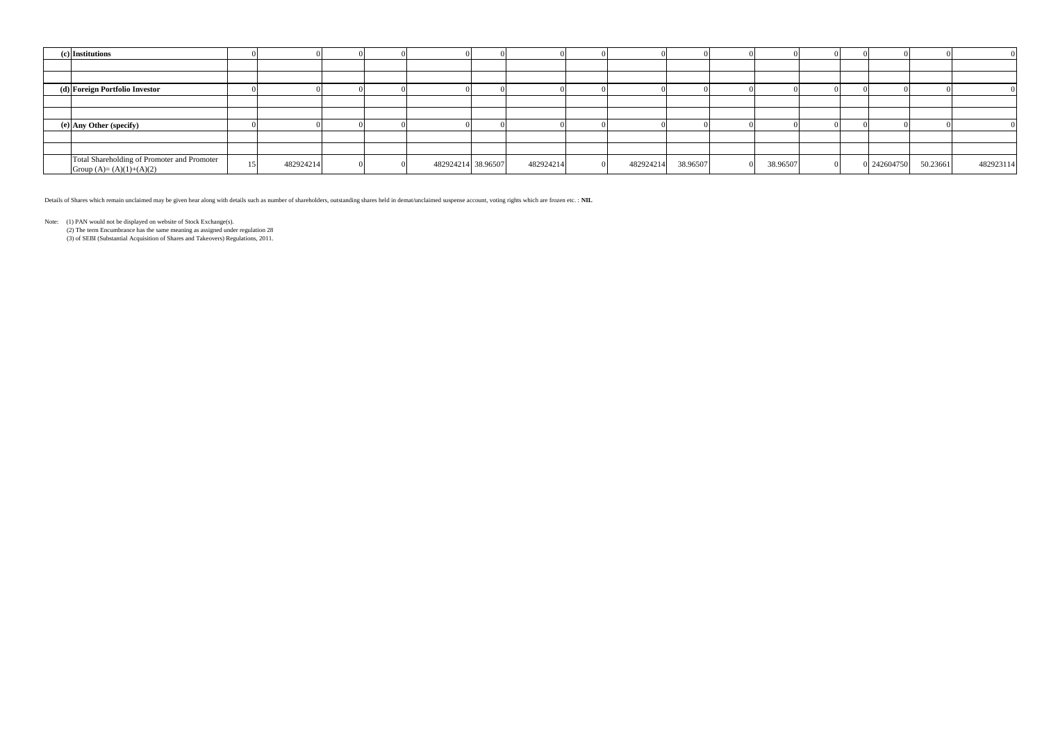| (c) Institutions                                                         |           |  |                    |           |           |          |          |  |             |          |           |
|--------------------------------------------------------------------------|-----------|--|--------------------|-----------|-----------|----------|----------|--|-------------|----------|-----------|
|                                                                          |           |  |                    |           |           |          |          |  |             |          |           |
|                                                                          |           |  |                    |           |           |          |          |  |             |          |           |
| (d) Foreign Portfolio Investor                                           |           |  |                    |           |           |          |          |  |             |          |           |
|                                                                          |           |  |                    |           |           |          |          |  |             |          |           |
|                                                                          |           |  |                    |           |           |          |          |  |             |          |           |
| (e) Any Other (specify)                                                  |           |  |                    |           |           |          |          |  |             |          |           |
|                                                                          |           |  |                    |           |           |          |          |  |             |          |           |
|                                                                          |           |  |                    |           |           |          |          |  |             |          |           |
| Total Shareholding of Promoter and Promoter<br>Group $(A)=(A)(1)+(A)(2)$ | 482924214 |  | 482924214 38.96507 | 482924214 | 482924214 | 38.96507 | 38.96507 |  | 0 242604750 | 50.23661 | 482923114 |

Details of Shares which remain unclaimed may be given hear along with details such as number of shareholders, outstanding shares held in demat/unclaimed suspense account, voting rights which are frozen etc. : **NIL**

Note: (1) PAN would not be displayed on website of Stock Exchange(s).

 (2) The term Encumbrance has the same meaning as assigned under regulation 28 (3) of SEBI (Substantial Acquisition of Shares and Takeovers) Regulations, 2011.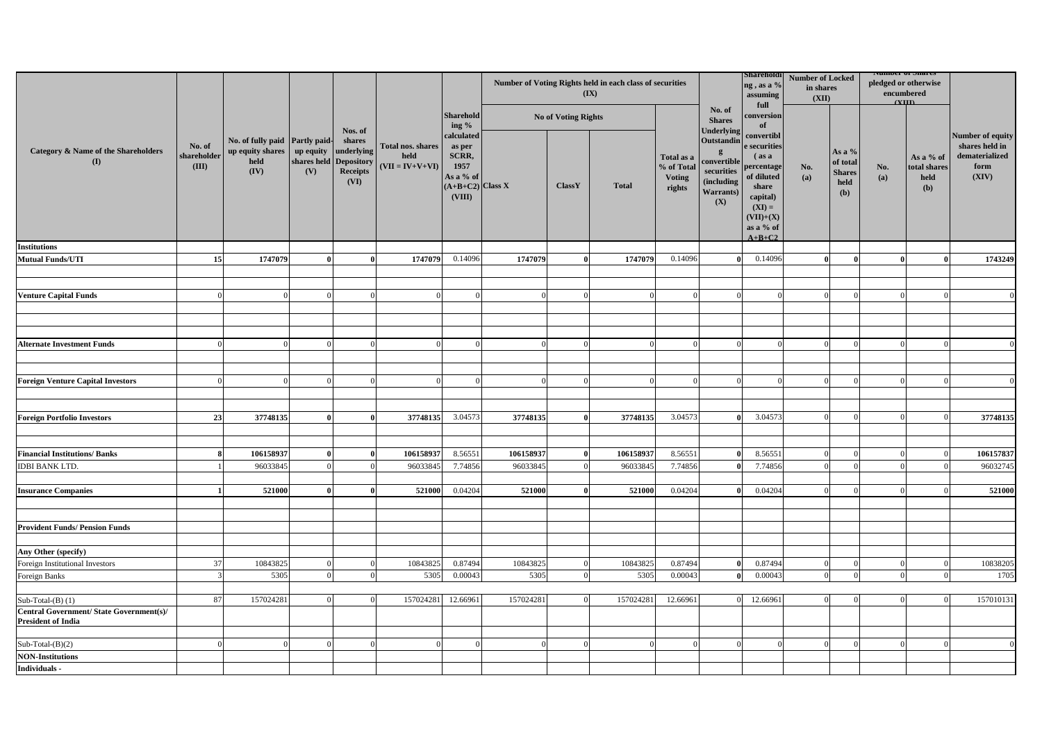|                                                                              |                                |                                                                                             |          |                                                             |                                                |                                                                                    | Number of Voting Rights held in each class of securities | (IX)                       |              | Shareholdi<br>ng, as a %<br>assuming<br>full        | <b>Number of Locked</b><br>in shares<br>(XII)                                     |                                                                                                                                                 | <b>Number of Shares</b><br>pledged or otherwise<br>encumbered<br>$($ VIII |                                                      |            |                                                 |                                                                       |
|------------------------------------------------------------------------------|--------------------------------|---------------------------------------------------------------------------------------------|----------|-------------------------------------------------------------|------------------------------------------------|------------------------------------------------------------------------------------|----------------------------------------------------------|----------------------------|--------------|-----------------------------------------------------|-----------------------------------------------------------------------------------|-------------------------------------------------------------------------------------------------------------------------------------------------|---------------------------------------------------------------------------|------------------------------------------------------|------------|-------------------------------------------------|-----------------------------------------------------------------------|
|                                                                              |                                |                                                                                             |          | Nos. of                                                     |                                                | <b>Sharehold</b><br>ing $\%$                                                       |                                                          | <b>No of Voting Rights</b> |              |                                                     | No. of<br><b>Shares</b><br>Underlying                                             | conversion                                                                                                                                      |                                                                           |                                                      |            |                                                 |                                                                       |
| <b>Category &amp; Name of the Shareholders</b><br>(I)                        | No. of<br>shareholder<br>(III) | No. of fully paid Partly paid-<br>up equity shares   up equity   underlying<br>held<br>(IV) | (V)      | shares<br>shares held Depository<br><b>Receipts</b><br>(VI) | Total nos. shares<br>held<br>$(VII = IV+V+VI)$ | calculated<br>as per<br>SCRR,<br>1957<br>As a % of<br>$(A+B+C2)$ Class X<br>(VIII) |                                                          | <b>ClassY</b>              | <b>Total</b> | Total as a<br>% of Total<br><b>Voting</b><br>rights | Outstandin<br>convertible<br>securities<br>(including<br><b>Warrants</b> )<br>(X) | convertibl<br>e securities<br>$\int$ (as a<br>percentage<br>of diluted<br>share<br>capital)<br>$(XI) =$<br>$(VII)+(X)$<br>as a % of<br>$A+B+C2$ | No.<br>(a)                                                                | As a $%$<br>of total<br><b>Shares</b><br>held<br>(b) | No.<br>(a) | As a % of<br>total shares<br>held<br><b>(b)</b> | Number of equity<br>shares held in<br>dematerialized<br>form<br>(XIV) |
| <b>Institutions</b>                                                          |                                |                                                                                             |          |                                                             |                                                |                                                                                    |                                                          |                            |              |                                                     |                                                                                   |                                                                                                                                                 |                                                                           |                                                      |            |                                                 |                                                                       |
| <b>Mutual Funds/UTI</b>                                                      | 15                             | 1747079                                                                                     |          |                                                             | 1747079                                        | 0.14096                                                                            | 1747079                                                  |                            | 1747079      | 0.14096                                             |                                                                                   | 0.14096                                                                                                                                         |                                                                           |                                                      |            |                                                 | 1743249                                                               |
|                                                                              |                                |                                                                                             |          |                                                             |                                                |                                                                                    |                                                          |                            |              |                                                     |                                                                                   |                                                                                                                                                 |                                                                           |                                                      |            |                                                 |                                                                       |
|                                                                              |                                |                                                                                             |          |                                                             |                                                |                                                                                    |                                                          |                            |              |                                                     |                                                                                   |                                                                                                                                                 |                                                                           |                                                      |            |                                                 |                                                                       |
| <b>Venture Capital Funds</b>                                                 |                                |                                                                                             |          |                                                             |                                                |                                                                                    |                                                          |                            |              |                                                     |                                                                                   |                                                                                                                                                 | $\Omega$                                                                  |                                                      |            |                                                 |                                                                       |
|                                                                              |                                |                                                                                             |          |                                                             |                                                |                                                                                    |                                                          |                            |              |                                                     |                                                                                   |                                                                                                                                                 |                                                                           |                                                      |            |                                                 |                                                                       |
|                                                                              |                                |                                                                                             |          |                                                             |                                                |                                                                                    |                                                          |                            |              |                                                     |                                                                                   |                                                                                                                                                 |                                                                           |                                                      |            |                                                 |                                                                       |
|                                                                              |                                |                                                                                             |          |                                                             |                                                |                                                                                    |                                                          |                            |              |                                                     |                                                                                   |                                                                                                                                                 |                                                                           |                                                      |            |                                                 |                                                                       |
| <b>Alternate Investment Funds</b>                                            |                                |                                                                                             |          |                                                             |                                                |                                                                                    |                                                          |                            |              |                                                     |                                                                                   |                                                                                                                                                 |                                                                           |                                                      |            |                                                 |                                                                       |
|                                                                              |                                |                                                                                             |          |                                                             |                                                |                                                                                    |                                                          |                            |              |                                                     |                                                                                   |                                                                                                                                                 |                                                                           |                                                      |            |                                                 |                                                                       |
| <b>Foreign Venture Capital Investors</b>                                     |                                |                                                                                             |          |                                                             |                                                |                                                                                    |                                                          |                            |              |                                                     |                                                                                   |                                                                                                                                                 |                                                                           |                                                      |            |                                                 |                                                                       |
|                                                                              |                                |                                                                                             |          |                                                             |                                                |                                                                                    |                                                          |                            |              |                                                     |                                                                                   |                                                                                                                                                 |                                                                           |                                                      |            |                                                 |                                                                       |
|                                                                              |                                |                                                                                             |          |                                                             |                                                |                                                                                    |                                                          |                            |              |                                                     |                                                                                   |                                                                                                                                                 |                                                                           |                                                      |            |                                                 |                                                                       |
| <b>Foreign Portfolio Investors</b>                                           | 23                             | 37748135                                                                                    |          |                                                             | 37748135                                       | 3.04573                                                                            | 37748135                                                 |                            | 37748135     | 3.04573                                             |                                                                                   | 3.04573                                                                                                                                         | $\Omega$                                                                  |                                                      |            |                                                 | 37748135                                                              |
|                                                                              |                                |                                                                                             |          |                                                             |                                                |                                                                                    |                                                          |                            |              |                                                     |                                                                                   |                                                                                                                                                 |                                                                           |                                                      |            |                                                 |                                                                       |
|                                                                              |                                |                                                                                             |          |                                                             |                                                |                                                                                    |                                                          |                            |              |                                                     |                                                                                   |                                                                                                                                                 |                                                                           |                                                      |            |                                                 |                                                                       |
| <b>Financial Institutions/Banks</b>                                          |                                | 106158937                                                                                   |          |                                                             | 106158937                                      | 8.56551                                                                            | 106158937                                                |                            | 106158937    | 8.56551                                             |                                                                                   | 8.56551                                                                                                                                         |                                                                           |                                                      |            |                                                 | 106157837                                                             |
| <b>IDBI BANK LTD.</b>                                                        |                                | 96033845                                                                                    | $\Omega$ | $\Omega$                                                    | 96033845                                       | 7.74856                                                                            | 96033845                                                 |                            | 96033845     | 7.74856                                             | $\mathbf{0}$                                                                      | 7.74856                                                                                                                                         | $\overline{0}$                                                            |                                                      | $\Omega$   |                                                 | 96032745                                                              |
|                                                                              |                                |                                                                                             |          |                                                             |                                                |                                                                                    |                                                          |                            |              |                                                     |                                                                                   |                                                                                                                                                 |                                                                           |                                                      |            |                                                 |                                                                       |
| <b>Insurance Companies</b>                                                   |                                | 521000                                                                                      |          |                                                             | 521000                                         | 0.04204                                                                            | 521000                                                   |                            | 521000       | 0.04204                                             |                                                                                   | 0.04204                                                                                                                                         | $\Omega$                                                                  |                                                      |            |                                                 | 521000                                                                |
|                                                                              |                                |                                                                                             |          |                                                             |                                                |                                                                                    |                                                          |                            |              |                                                     |                                                                                   |                                                                                                                                                 |                                                                           |                                                      |            |                                                 |                                                                       |
|                                                                              |                                |                                                                                             |          |                                                             |                                                |                                                                                    |                                                          |                            |              |                                                     |                                                                                   |                                                                                                                                                 |                                                                           |                                                      |            |                                                 |                                                                       |
| <b>Provident Funds/ Pension Funds</b>                                        |                                |                                                                                             |          |                                                             |                                                |                                                                                    |                                                          |                            |              |                                                     |                                                                                   |                                                                                                                                                 |                                                                           |                                                      |            |                                                 |                                                                       |
|                                                                              |                                |                                                                                             |          |                                                             |                                                |                                                                                    |                                                          |                            |              |                                                     |                                                                                   |                                                                                                                                                 |                                                                           |                                                      |            |                                                 |                                                                       |
| Any Other (specify)                                                          |                                |                                                                                             |          |                                                             |                                                |                                                                                    |                                                          |                            |              |                                                     |                                                                                   |                                                                                                                                                 |                                                                           |                                                      |            |                                                 |                                                                       |
| Foreign Institutional Investors                                              | 37                             | 10843825                                                                                    |          |                                                             | 10843825                                       | 0.87494                                                                            | 10843825                                                 |                            | 10843825     | 0.87494                                             |                                                                                   | 0.87494                                                                                                                                         | $\Omega$                                                                  |                                                      |            |                                                 | 10838205                                                              |
| Foreign Banks                                                                |                                | 5305                                                                                        |          | $\Omega$                                                    | 5305                                           | 0.00043                                                                            | 5305                                                     |                            | 5305         | 0.00043                                             |                                                                                   | 0.00043                                                                                                                                         | $\Omega$                                                                  |                                                      |            |                                                 | 1705                                                                  |
|                                                                              |                                |                                                                                             |          |                                                             |                                                |                                                                                    |                                                          |                            |              |                                                     |                                                                                   |                                                                                                                                                 |                                                                           |                                                      |            |                                                 |                                                                       |
| Sub-Total- $(B)$ (1)                                                         | 87                             | 157024281                                                                                   |          |                                                             | 157024281                                      | 12.66961                                                                           | 157024281                                                |                            | 157024281    | 12.66961                                            |                                                                                   | 12.66961                                                                                                                                        | $\Omega$                                                                  |                                                      |            |                                                 | 157010131                                                             |
| <b>Central Government/ State Government(s)/</b><br><b>President of India</b> |                                |                                                                                             |          |                                                             |                                                |                                                                                    |                                                          |                            |              |                                                     |                                                                                   |                                                                                                                                                 |                                                                           |                                                      |            |                                                 |                                                                       |
| Sub-Total- $(B)(2)$                                                          |                                |                                                                                             |          | $\Omega$                                                    |                                                | $\Omega$                                                                           |                                                          |                            |              |                                                     |                                                                                   |                                                                                                                                                 | $\Omega$                                                                  |                                                      |            |                                                 |                                                                       |
| <b>NON-Institutions</b>                                                      |                                |                                                                                             |          |                                                             |                                                |                                                                                    |                                                          |                            |              |                                                     |                                                                                   |                                                                                                                                                 |                                                                           |                                                      |            |                                                 |                                                                       |
| Individuals -                                                                |                                |                                                                                             |          |                                                             |                                                |                                                                                    |                                                          |                            |              |                                                     |                                                                                   |                                                                                                                                                 |                                                                           |                                                      |            |                                                 |                                                                       |
|                                                                              |                                |                                                                                             |          |                                                             |                                                |                                                                                    |                                                          |                            |              |                                                     |                                                                                   |                                                                                                                                                 |                                                                           |                                                      |            |                                                 |                                                                       |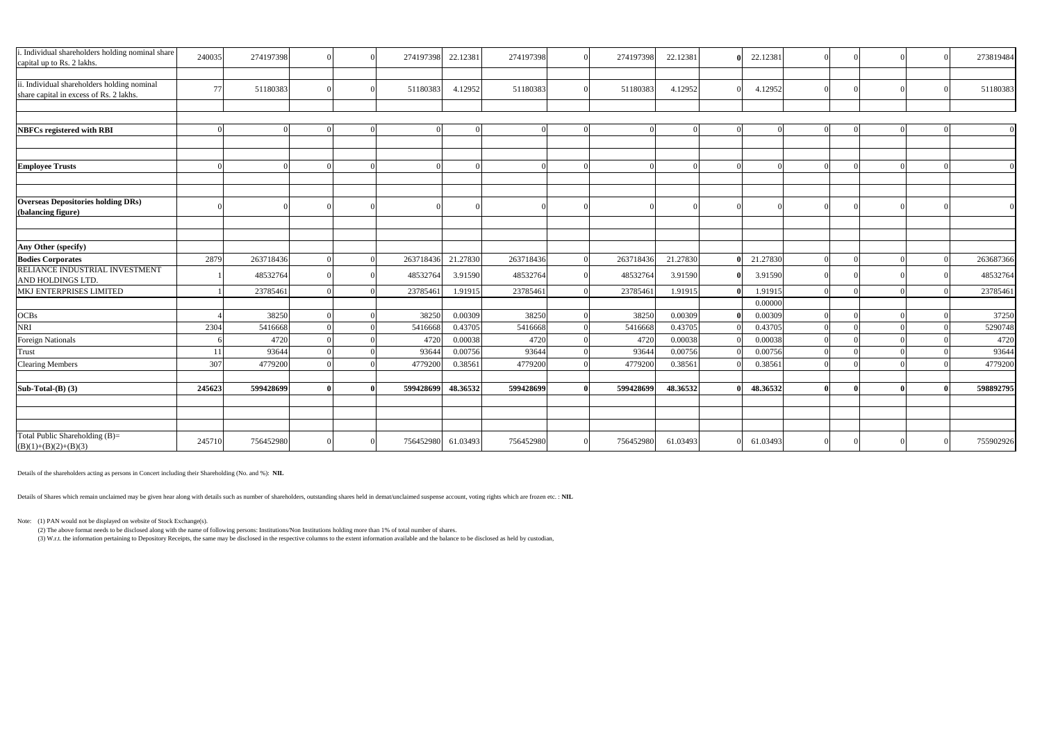| i. Individual shareholders holding nominal share<br>capital up to Rs. 2 lakhs.         | 240035 | 274197398 |  | 274197398 | 22.12381 | 274197398 |          | 274197398 | 22.12381 | 22.12381 |          |  | 273819484 |
|----------------------------------------------------------------------------------------|--------|-----------|--|-----------|----------|-----------|----------|-----------|----------|----------|----------|--|-----------|
|                                                                                        |        |           |  |           |          |           |          |           |          |          |          |  |           |
| ii. Individual shareholders holding nominal<br>share capital in excess of Rs. 2 lakhs. | 77     | 51180383  |  | 51180383  | 4.12952  | 51180383  | $\Omega$ | 51180383  | 4.12952  | 4.12952  |          |  | 51180383  |
|                                                                                        |        |           |  |           |          |           |          |           |          |          |          |  |           |
|                                                                                        |        |           |  |           |          |           |          |           |          |          |          |  |           |
| <b>NBFCs registered with RBI</b>                                                       |        |           |  |           |          |           |          |           |          |          |          |  |           |
|                                                                                        |        |           |  |           |          |           |          |           |          |          |          |  |           |
|                                                                                        |        |           |  |           |          |           |          |           |          |          |          |  |           |
| <b>Employee Trusts</b>                                                                 |        |           |  |           |          |           |          |           |          |          |          |  |           |
|                                                                                        |        |           |  |           |          |           |          |           |          |          |          |  |           |
|                                                                                        |        |           |  |           |          |           |          |           |          |          |          |  |           |
| <b>Overseas Depositories holding DRs)</b>                                              |        |           |  |           |          |           |          |           |          |          |          |  |           |
| (balancing figure)                                                                     |        |           |  |           |          |           |          |           |          |          |          |  |           |
|                                                                                        |        |           |  |           |          |           |          |           |          |          |          |  |           |
|                                                                                        |        |           |  |           |          |           |          |           |          |          |          |  |           |
| Any Other (specify)                                                                    |        |           |  |           |          |           |          |           |          |          |          |  |           |
| <b>Bodies Corporates</b>                                                               | 2879   | 263718436 |  | 263718436 | 21.27830 | 263718436 |          | 263718436 | 21.27830 | 21.27830 |          |  | 263687366 |
| RELIANCE INDUSTRIAL INVESTMENT<br>AND HOLDINGS LTD.                                    |        | 48532764  |  | 48532764  | 3.91590  | 48532764  | $\Omega$ | 48532764  | 3.91590  | 3.91590  |          |  | 48532764  |
| MKJ ENTERPRISES LIMITED                                                                |        | 23785461  |  | 23785461  | 1.91915  | 23785461  |          | 23785461  | 1.91915  | 1.91915  |          |  | 23785461  |
|                                                                                        |        |           |  |           |          |           |          |           |          | 0.00000  |          |  |           |
| <b>OCBs</b>                                                                            |        | 38250     |  | 38250     | 0.00309  | 38250     |          | 38250     | 0.00309  | 0.00309  | $\Omega$ |  | 37250     |
| <b>NRI</b>                                                                             | 2304   | 5416668   |  | 5416668   | 0.43705  | 5416668   |          | 5416668   | 0.43705  | 0.43705  | $\Omega$ |  | 5290748   |
| <b>Foreign Nationals</b>                                                               |        | 4720      |  | 4720      | 0.00038  | 4720      |          | 4720      | 0.00038  | 0.00038  | $\Omega$ |  | 4720      |
| <b>Trust</b>                                                                           | 11     | 93644     |  | 93644     | 0.00756  | 93644     |          | 93644     | 0.00756  | 0.00756  |          |  | 93644     |
| <b>Clearing Members</b>                                                                | 307    | 4779200   |  | 4779200   | 0.38561  | 4779200   |          | 4779200   | 0.38561  | 0.38561  |          |  | 4779200   |
|                                                                                        |        |           |  |           |          |           |          |           |          |          |          |  |           |
| Sub-Total- $(B)$ $(3)$                                                                 | 245623 | 599428699 |  | 599428699 | 48.36532 | 599428699 |          | 599428699 | 48.36532 | 48.36532 |          |  | 598892795 |
|                                                                                        |        |           |  |           |          |           |          |           |          |          |          |  |           |
|                                                                                        |        |           |  |           |          |           |          |           |          |          |          |  |           |
|                                                                                        |        |           |  |           |          |           |          |           |          |          |          |  |           |
| Total Public Shareholding (B)=<br>$(B)(1)+(B)(2)+(B)(3)$                               | 24571  | 756452980 |  | 756452980 | 61.03493 | 756452980 | $\Omega$ | 756452980 | 61.03493 | 61.03493 |          |  | 755902926 |

Details of the shareholders acting as persons in Concert including their Shareholding (No. and %): **NIL**

Details of Shares which remain unclaimed may be given hear along with details such as number of shareholders, outstanding shares held in demat/unclaimed suspense account, voting rights which are frozen etc. : **NIL**

Note: (1) PAN would not be displayed on website of Stock Exchange(s).

(2) The above format needs to be disclosed along with the name of following persons: Institutions/Non Institutions holding more than 1% of total number of shares.

(3) W.r.t. the information pertaining to Depository Receipts, the same may be disclosed in the respective columns to the extent information available and the balance to be disclosed as held by custodian,